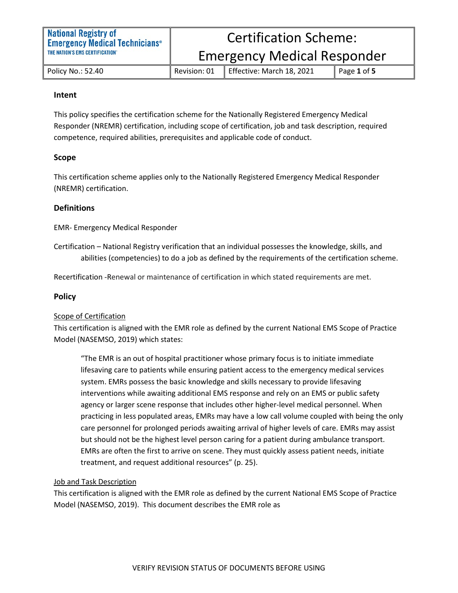Emergency Medical Responder

Policy No.: 52.40 Revision: 01 Effective: March 18, 2021 Page **1** of **5**

### **Intent**

This policy specifies the certification scheme for the Nationally Registered Emergency Medical Responder (NREMR) certification, including scope of certification, job and task description, required competence, required abilities, prerequisites and applicable code of conduct.

# **Scope**

This certification scheme applies only to the Nationally Registered Emergency Medical Responder (NREMR) certification.

# **Definitions**

EMR- Emergency Medical Responder

Certification – National Registry verification that an individual possesses the knowledge, skills, and abilities (competencies) to do a job as defined by the requirements of the certification scheme.

Recertification -Renewal or maintenance of certification in which stated requirements are met.

# **Policy**

# Scope of Certification

This certification is aligned with the EMR role as defined by the current National EMS Scope of Practice Model (NASEMSO, 2019) which states:

"The EMR is an out of hospital practitioner whose primary focus is to initiate immediate lifesaving care to patients while ensuring patient access to the emergency medical services system. EMRs possess the basic knowledge and skills necessary to provide lifesaving interventions while awaiting additional EMS response and rely on an EMS or public safety agency or larger scene response that includes other higher-level medical personnel. When practicing in less populated areas, EMRs may have a low call volume coupled with being the only care personnel for prolonged periods awaiting arrival of higher levels of care. EMRs may assist but should not be the highest level person caring for a patient during ambulance transport. EMRs are often the first to arrive on scene. They must quickly assess patient needs, initiate treatment, and request additional resources" (p. 25).

#### Job and Task Description

This certification is aligned with the EMR role as defined by the current National EMS Scope of Practice Model (NASEMSO, 2019). This document describes the EMR role as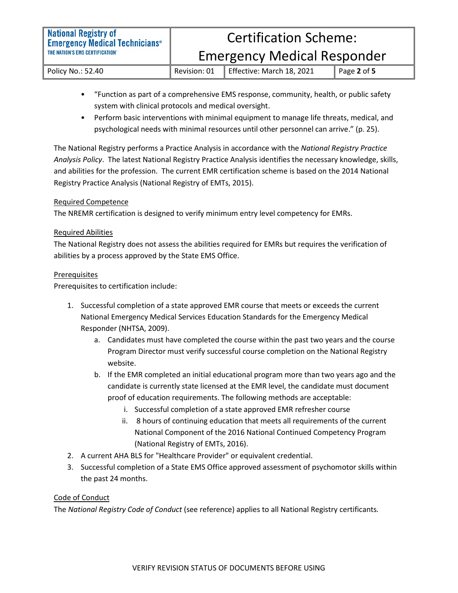Policy No.: 52.40 Revision: 01 Effective: March 18, 2021 Page **2** of **5**

- "Function as part of a comprehensive EMS response, community, health, or public safety system with clinical protocols and medical oversight.
- Perform basic interventions with minimal equipment to manage life threats, medical, and psychological needs with minimal resources until other personnel can arrive." (p. 25).

The National Registry performs a Practice Analysis in accordance with the *National Registry Practice Analysis Policy*. The latest National Registry Practice Analysis identifies the necessary knowledge, skills, and abilities for the profession. The current EMR certification scheme is based on the 2014 National Registry Practice Analysis (National Registry of EMTs, 2015).

# Required Competence

The NREMR certification is designed to verify minimum entry level competency for EMRs.

# Required Abilities

The National Registry does not assess the abilities required for EMRs but requires the verification of abilities by a process approved by the State EMS Office.

# **Prerequisites**

Prerequisites to certification include:

- 1. Successful completion of a state approved EMR course that meets or exceeds the current National Emergency Medical Services Education Standards for the Emergency Medical Responder (NHTSA, 2009).
	- a. Candidates must have completed the course within the past two years and the course Program Director must verify successful course completion on the National Registry website.
	- b. If the EMR completed an initial educational program more than two years ago and the candidate is currently state licensed at the EMR level, the candidate must document proof of education requirements. The following methods are acceptable:
		- i. Successful completion of a state approved EMR refresher course
		- ii. 8 hours of continuing education that meets all requirements of the current National Component of the 2016 National Continued Competency Program (National Registry of EMTs, 2016).
- 2. A current AHA BLS for "Healthcare Provider" or equivalent credential.
- 3. Successful completion of a State EMS Office approved assessment of psychomotor skills within the past 24 months.

# Code of Conduct

The *National Registry Code of Conduct* (see reference) applies to all National Registry certificants*.*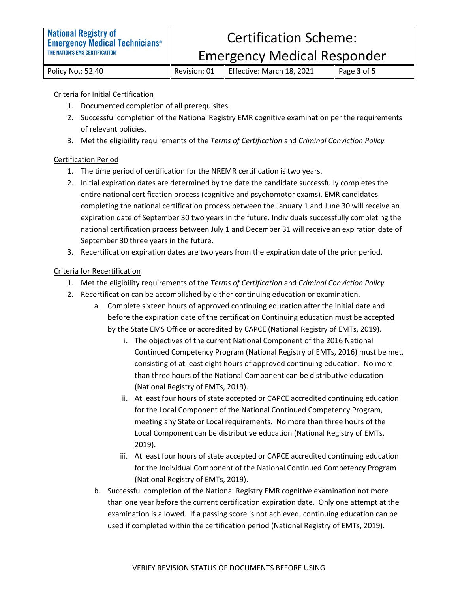Emergency Medical Responder

Policy No.: 52.40 Revision: 01 Effective: March 18, 2021 Page **3** of **5**

#### Criteria for Initial Certification

- 1. Documented completion of all prerequisites.
- 2. Successful completion of the National Registry EMR cognitive examination per the requirements of relevant policies.
- 3. Met the eligibility requirements of the *Terms of Certification* and *Criminal Conviction Policy.*

#### Certification Period

- 1. The time period of certification for the NREMR certification is two years.
- 2. Initial expiration dates are determined by the date the candidate successfully completes the entire national certification process (cognitive and psychomotor exams). EMR candidates completing the national certification process between the January 1 and June 30 will receive an expiration date of September 30 two years in the future. Individuals successfully completing the national certification process between July 1 and December 31 will receive an expiration date of September 30 three years in the future.
- 3. Recertification expiration dates are two years from the expiration date of the prior period.

#### Criteria for Recertification

- 1. Met the eligibility requirements of the *Terms of Certification* and *Criminal Conviction Policy.*
- 2. Recertification can be accomplished by either continuing education or examination.
	- a. Complete sixteen hours of approved continuing education after the initial date and before the expiration date of the certification Continuing education must be accepted by the State EMS Office or accredited by CAPCE (National Registry of EMTs, 2019).
		- i. The objectives of the current National Component of the 2016 National Continued Competency Program (National Registry of EMTs, 2016) must be met, consisting of at least eight hours of approved continuing education. No more than three hours of the National Component can be distributive education (National Registry of EMTs, 2019).
		- ii. At least four hours of state accepted or CAPCE accredited continuing education for the Local Component of the National Continued Competency Program, meeting any State or Local requirements. No more than three hours of the Local Component can be distributive education (National Registry of EMTs, 2019).
		- iii. At least four hours of state accepted or CAPCE accredited continuing education for the Individual Component of the National Continued Competency Program (National Registry of EMTs, 2019).
	- b. Successful completion of the National Registry EMR cognitive examination not more than one year before the current certification expiration date. Only one attempt at the examination is allowed. If a passing score is not achieved, continuing education can be used if completed within the certification period (National Registry of EMTs, 2019).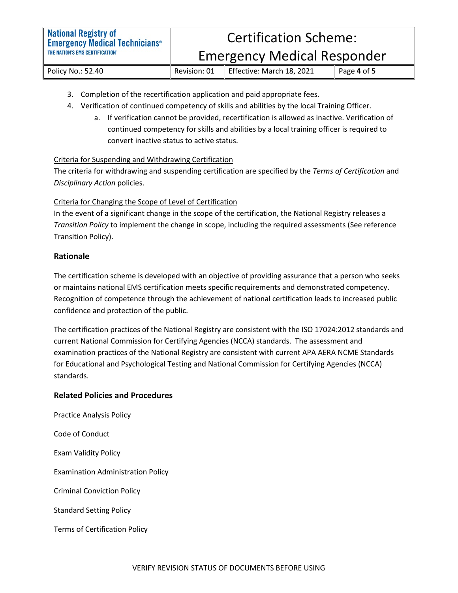Emergency Medical Responder

Policy No.: 52.40 Revision: 01 Effective: March 18, 2021 Page **4** of **5**

- 3. Completion of the recertification application and paid appropriate fees.
- 4. Verification of continued competency of skills and abilities by the local Training Officer.
	- a. If verification cannot be provided, recertification is allowed as inactive. Verification of continued competency for skills and abilities by a local training officer is required to convert inactive status to active status.

# Criteria for Suspending and Withdrawing Certification

The criteria for withdrawing and suspending certification are specified by the *Terms of Certification* and *Disciplinary Action* policies.

# Criteria for Changing the Scope of Level of Certification

In the event of a significant change in the scope of the certification, the National Registry releases a *Transition Policy* to implement the change in scope, including the required assessments (See reference Transition Policy).

# **Rationale**

The certification scheme is developed with an objective of providing assurance that a person who seeks or maintains national EMS certification meets specific requirements and demonstrated competency. Recognition of competence through the achievement of national certification leads to increased public confidence and protection of the public.

The certification practices of the National Registry are consistent with the ISO 17024:2012 standards and current National Commission for Certifying Agencies (NCCA) standards. The assessment and examination practices of the National Registry are consistent with current APA AERA NCME Standards for Educational and Psychological Testing and National Commission for Certifying Agencies (NCCA) standards.

# **Related Policies and Procedures**

Practice Analysis Policy Code of Conduct Exam Validity Policy Examination Administration Policy Criminal Conviction Policy Standard Setting Policy Terms of Certification Policy